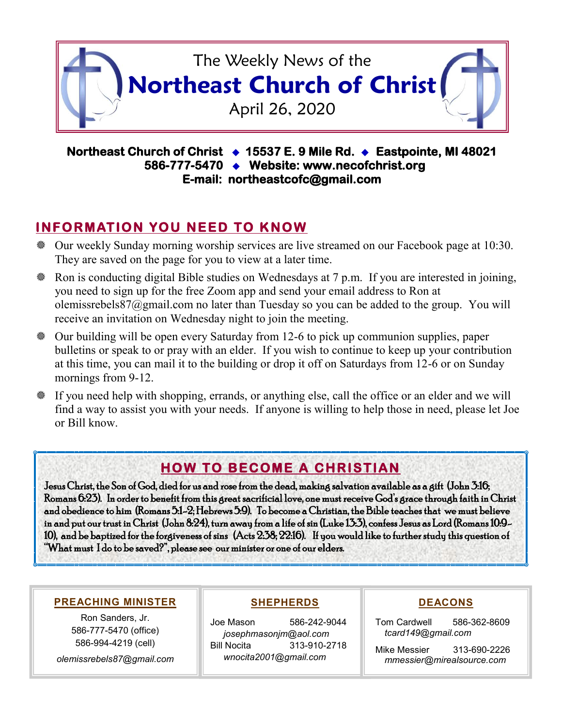

#### **Northeast Church of Christ 15537 E. 9 Mile Rd. Eastpointe, MI 48021 586-777-5470 Website: www.necofchrist.org E-mail: northeastcofc@gmail.com**

## **INFORMATION YOU NEED TO KNOW**

- Our weekly Sunday morning worship services are live streamed on our Facebook page at 10:30. They are saved on the page for you to view at a later time.
- Ron is conducting digital Bible studies on Wednesdays at 7 p.m. If you are interested in joining, you need to sign up for the free Zoom app and send your email address to Ron at olemissrebels87@gmail.com no later than Tuesday so you can be added to the group. You will receive an invitation on Wednesday night to join the meeting.
- Our building will be open every Saturday from 12-6 to pick up communion supplies, paper bulletins or speak to or pray with an elder. If you wish to continue to keep up your contribution at this time, you can mail it to the building or drop it off on Saturdays from 12-6 or on Sunday mornings from 9-12.
- If you need help with shopping, errands, or anything else, call the office or an elder and we will find a way to assist you with your needs. If anyone is willing to help those in need, please let Joe or Bill know.

# **HOW TO BECOME A CHRISTIAN**

Jesus Christ, the Son of God, died for us and rose from the dead, making salvation available as a gift (John 3:16; Romans 6:23). In order to benefit from this great sacrificial love, one must receive God's grace through faith in Christ and obedience to him (Romans 5:1-2; Hebrews 5:9). To become a Christian, the Bible teaches that we must believe in and put our trust in Christ (John 8:24), turn away from a life of sin (Luke 13:3), confess Jesus as Lord (Romans 10:9- 10), and be baptized for the forgiveness of sins (Acts 2:38; 22:16). If you would like to further study this question of "What must I do to be saved?", please see our minister or one of our elders.

#### **PREACHING MINISTER**

Ron Sanders, Jr. 586-777-5470 (office) 586-994-4219 (cell) *olemissrebels87@gmail.com*

#### **SHEPHERDS**

Joe Mason 586-242-9044 *josephmasonjm@aol.com* Bill Nocita 313-910-2718 *wnocita2001@gmail.com*

#### **DEACONS**

Tom Cardwell 586-362-8609 *tcard149@gmail.com*

Mike Messier 313-690-2226 *mmessier@mirealsource.com*